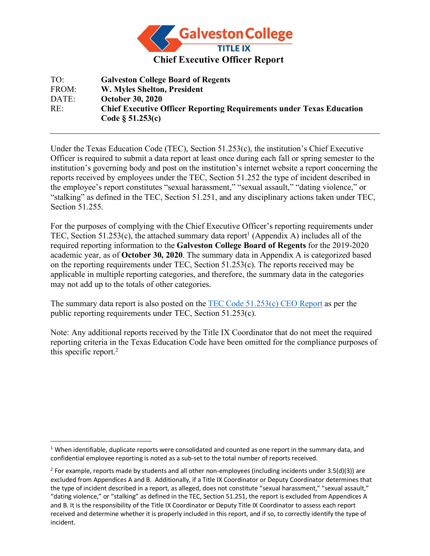

TO: **Galveston College Board of Regents** FROM: **W. Myles Shelton, President** DATE: **October 30, 2020** RE: **Chief Executive Officer Reporting Requirements under Texas Education Code § 51.253(c)**

Under the Texas Education Code (TEC), Section 51.253(c), the institution's Chief Executive Officer is required to submit a data report at least once during each fall or spring semester to the institution's governing body and post on the institution's internet website a report concerning the reports received by employees under the TEC, Section 51.252 the type of incident described in the employee's report constitutes "sexual harassment," "sexual assault," "dating violence," or "stalking" as defined in the TEC, Section 51.251, and any disciplinary actions taken under TEC, Section 51.255.

For the purposes of complying with the Chief Executive Officer's reporting requirements under TEC, Section 51.253(c), the attached summary data report<sup>1</sup> (Appendix A) includes all of the required reporting information to the **Galveston College Board of Regents** for the 2019-2020 academic year, as of **October 30, 2020**. The summary data in Appendix A is categorized based on the reporting requirements under TEC, Section 51.253(c). The reports received may be applicable in multiple reporting categories, and therefore, the summary data in the categories may not add up to the totals of other categories.

The summary data report is also posted on the TEC Code 51.253(c) CEO Report as per the public reporting requirements under TEC, Section 51.253(c).

Note: Any additional reports received by the Title IX Coordinator that do not meet the required reporting criteria in the Texas Education Code have been omitted for the compliance purposes of this specific report.2

 $1$  When identifiable, duplicate reports were consolidated and counted as one report in the summary data, and confidential employee reporting is noted as a sub-set to the total number of reports received.

<sup>&</sup>lt;sup>2</sup> For example, reports made by students and all other non-employees (including incidents under 3.5(d)(3)) are excluded from Appendices A and B. Additionally, if a Title IX Coordinator or Deputy Coordinator determines that the type of incident described in a report, as alleged, does not constitute "sexual harassment," "sexual assault," "dating violence," or "stalking" as defined in the TEC, Section 51.251, the report is excluded from Appendices A and B. It is the responsibility of the Title IX Coordinator or Deputy Title IX Coordinator to assess each report received and determine whether it is properly included in this report, and if so, to correctly identify the type of incident.